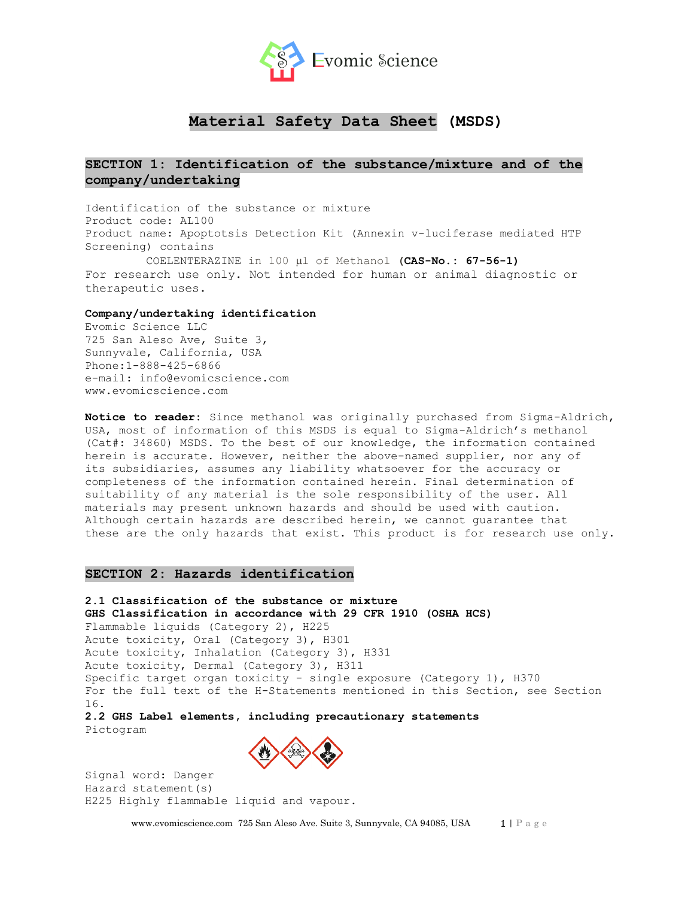

# **Material Safety Data Sheet (MSDS)**

# **SECTION 1: Identification of the substance/mixture and of the company/undertaking**

Identification of the substance or mixture Product code: AL100 Product name: Apoptotsis Detection Kit (Annexin v-luciferase mediated HTP Screening) contains COELENTERAZINE in 100 µl of Methanol (CAS-No.: 67-56-1) For research use only. Not intended for human or animal diagnostic or therapeutic uses.

## **Company/undertaking identification**

Evomic Science LLC 725 San Aleso Ave, Suite 3, Sunnyvale, California, USA Phone:1-888-425-6866 e-mail: info@evomicscience.com www.evomicscience.com

**Notice to reader:** Since methanol was originally purchased from Sigma-Aldrich, USA, most of information of this MSDS is equal to Sigma-Aldrich's methanol (Cat#: 34860) MSDS. To the best of our knowledge, the information contained herein is accurate. However, neither the above-named supplier, nor any of its subsidiaries, assumes any liability whatsoever for the accuracy or completeness of the information contained herein. Final determination of suitability of any material is the sole responsibility of the user. All materials may present unknown hazards and should be used with caution. Although certain hazards are described herein, we cannot guarantee that these are the only hazards that exist. This product is for research use only.

## **SECTION 2: Hazards identification**

**2.1 Classification of the substance or mixture GHS Classification in accordance with 29 CFR 1910 (OSHA HCS)** Flammable liquids (Category 2), H225 Acute toxicity, Oral (Category 3), H301 Acute toxicity, Inhalation (Category 3), H331 Acute toxicity, Dermal (Category 3), H311 Specific target organ toxicity - single exposure (Category 1), H370 For the full text of the H-Statements mentioned in this Section, see Section 16. **2.2 GHS Label elements, including precautionary statements**

Pictogram



Signal word: Danger Hazard statement(s) H225 Highly flammable liquid and vapour.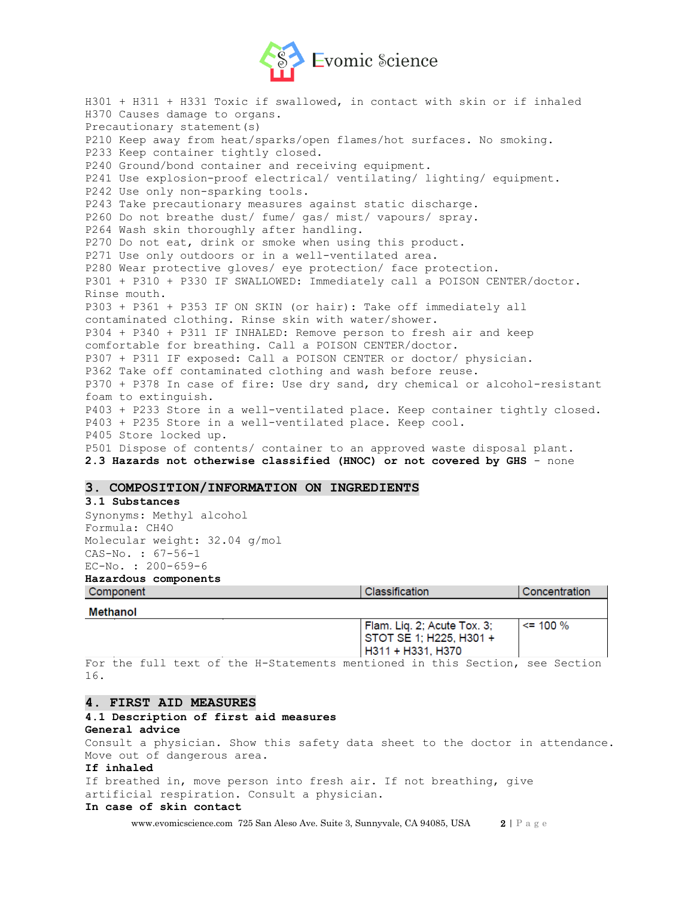

H301 + H311 + H331 Toxic if swallowed, in contact with skin or if inhaled H370 Causes damage to organs. Precautionary statement(s) P210 Keep away from heat/sparks/open flames/hot surfaces. No smoking. P233 Keep container tightly closed. P240 Ground/bond container and receiving equipment. P241 Use explosion-proof electrical/ ventilating/ lighting/ equipment. P242 Use only non-sparking tools. P243 Take precautionary measures against static discharge. P260 Do not breathe dust/ fume/ gas/ mist/ vapours/ spray. P264 Wash skin thoroughly after handling. P270 Do not eat, drink or smoke when using this product. P271 Use only outdoors or in a well-ventilated area. P280 Wear protective gloves/ eye protection/ face protection. P301 + P310 + P330 IF SWALLOWED: Immediately call a POISON CENTER/doctor. Rinse mouth. P303 + P361 + P353 IF ON SKIN (or hair): Take off immediately all contaminated clothing. Rinse skin with water/shower. P304 + P340 + P311 IF INHALED: Remove person to fresh air and keep comfortable for breathing. Call a POISON CENTER/doctor. P307 + P311 IF exposed: Call a POISON CENTER or doctor/ physician. P362 Take off contaminated clothing and wash before reuse. P370 + P378 In case of fire: Use dry sand, dry chemical or alcohol-resistant foam to extinguish. P403 + P233 Store in a well-ventilated place. Keep container tightly closed. P403 + P235 Store in a well-ventilated place. Keep cool. P405 Store locked up. P501 Dispose of contents/ container to an approved waste disposal plant. **2.3 Hazards not otherwise classified (HNOC) or not covered by GHS** - none

## **3. COMPOSITION/INFORMATION ON INGREDIENTS**

| 3.1 Substances                |                                                                             |               |
|-------------------------------|-----------------------------------------------------------------------------|---------------|
| Synonyms: Methyl alcohol      |                                                                             |               |
| Formula: CH40                 |                                                                             |               |
| Molecular weight: 32.04 q/mol |                                                                             |               |
| $CAS-No. : 67-56-1$           |                                                                             |               |
| $EC-NO. : 200-659-6$          |                                                                             |               |
| Hazardous components          |                                                                             |               |
| Component                     | Classification                                                              | Concentration |
| Methanol                      |                                                                             |               |
|                               | Flam. Liq. 2; Acute Tox. 3;<br>STOT SE 1; H225, H301 +<br>H311 + H331, H370 | $\le$ 100 %   |

For the full text of the H-Statements mentioned in this Section, see Section 16.

### **4. FIRST AID MEASURES**

## **4.1 Description of first aid measures General advice**

Consult a physician. Show this safety data sheet to the doctor in attendance. Move out of dangerous area.

#### **If inhaled**

If breathed in, move person into fresh air. If not breathing, give artificial respiration. Consult a physician.

## **In case of skin contact**

www.evomicscience.com 725 San Aleso Ave. Suite 3, Sunnyvale, CA 94085, USA 2 | P a g e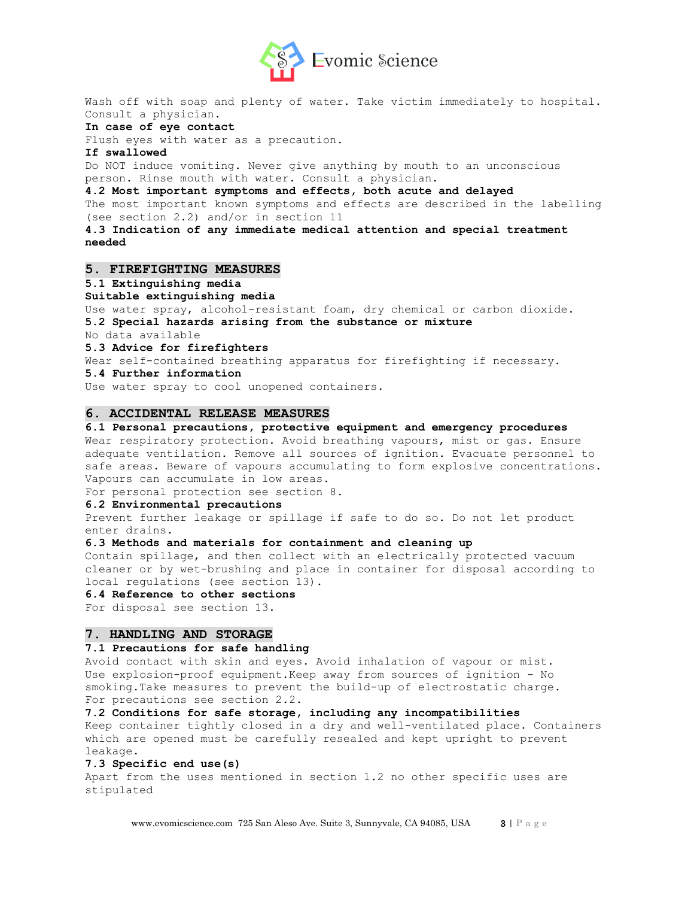

Wash off with soap and plenty of water. Take victim immediately to hospital. Consult a physician.

#### **In case of eye contact**

Flush eyes with water as a precaution.

#### **If swallowed**

Do NOT induce vomiting. Never give anything by mouth to an unconscious person. Rinse mouth with water. Consult a physician.

#### **4.2 Most important symptoms and effects, both acute and delayed**

The most important known symptoms and effects are described in the labelling (see section 2.2) and/or in section 11

**4.3 Indication of any immediate medical attention and special treatment needed**

### **5. FIREFIGHTING MEASURES**

## **5.1 Extinguishing media**

#### **Suitable extinguishing media**

Use water spray, alcohol-resistant foam, dry chemical or carbon dioxide. **5.2 Special hazards arising from the substance or mixture**

No data available

## **5.3 Advice for firefighters**

Wear self-contained breathing apparatus for firefighting if necessary.

## **5.4 Further information**

Use water spray to cool unopened containers.

## **6. ACCIDENTAL RELEASE MEASURES**

## **6.1 Personal precautions, protective equipment and emergency procedures**

Wear respiratory protection. Avoid breathing vapours, mist or gas. Ensure adequate ventilation. Remove all sources of ignition. Evacuate personnel to safe areas. Beware of vapours accumulating to form explosive concentrations. Vapours can accumulate in low areas.

For personal protection see section 8.

## **6.2 Environmental precautions**

Prevent further leakage or spillage if safe to do so. Do not let product enter drains.

## **6.3 Methods and materials for containment and cleaning up**

Contain spillage, and then collect with an electrically protected vacuum cleaner or by wet-brushing and place in container for disposal according to local regulations (see section 13).

#### **6.4 Reference to other sections**

For disposal see section 13.

## **7. HANDLING AND STORAGE**

## **7.1 Precautions for safe handling**

Avoid contact with skin and eyes. Avoid inhalation of vapour or mist. Use explosion-proof equipment.Keep away from sources of ignition - No smoking.Take measures to prevent the build-up of electrostatic charge. For precautions see section 2.2.

**7.2 Conditions for safe storage, including any incompatibilities**

Keep container tightly closed in a dry and well-ventilated place. Containers which are opened must be carefully resealed and kept upright to prevent leakage.

#### **7.3 Specific end use(s)**

Apart from the uses mentioned in section 1.2 no other specific uses are stipulated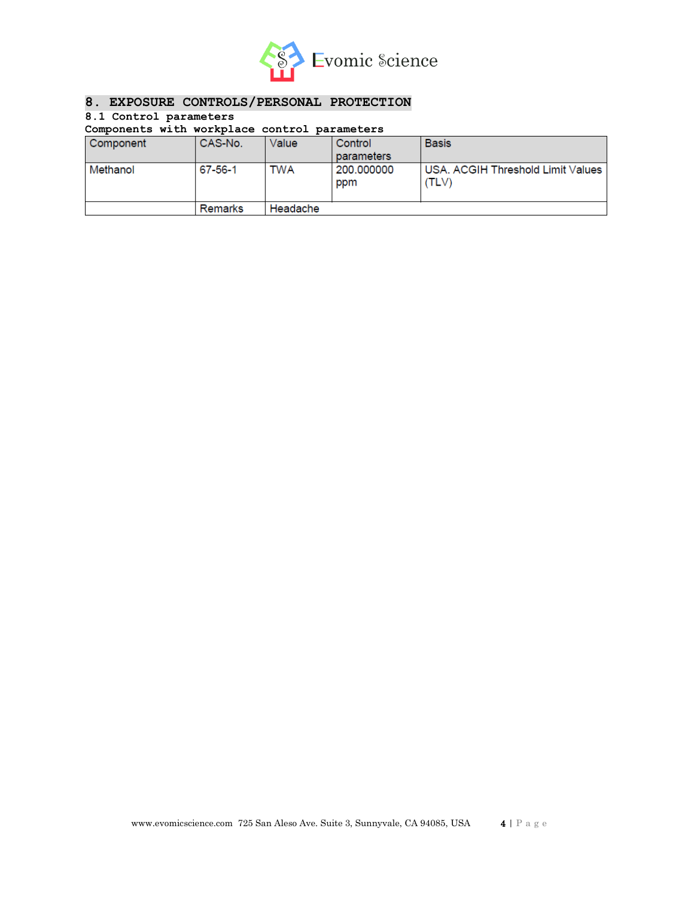

## **8. EXPOSURE CONTROLS/PERSONAL PROTECTION**

## **8.1 Control parameters**

## **Components with workplace control parameters**

| Component | CAS-No. | Value      | Control<br>parameters | <b>Basis</b>                                 |
|-----------|---------|------------|-----------------------|----------------------------------------------|
| Methanol  | 67-56-1 | <b>TWA</b> | 200.000000<br>ppm     | USA. ACGIH Threshold Limit Values  <br>(TLV) |
|           | Remarks | Headache   |                       |                                              |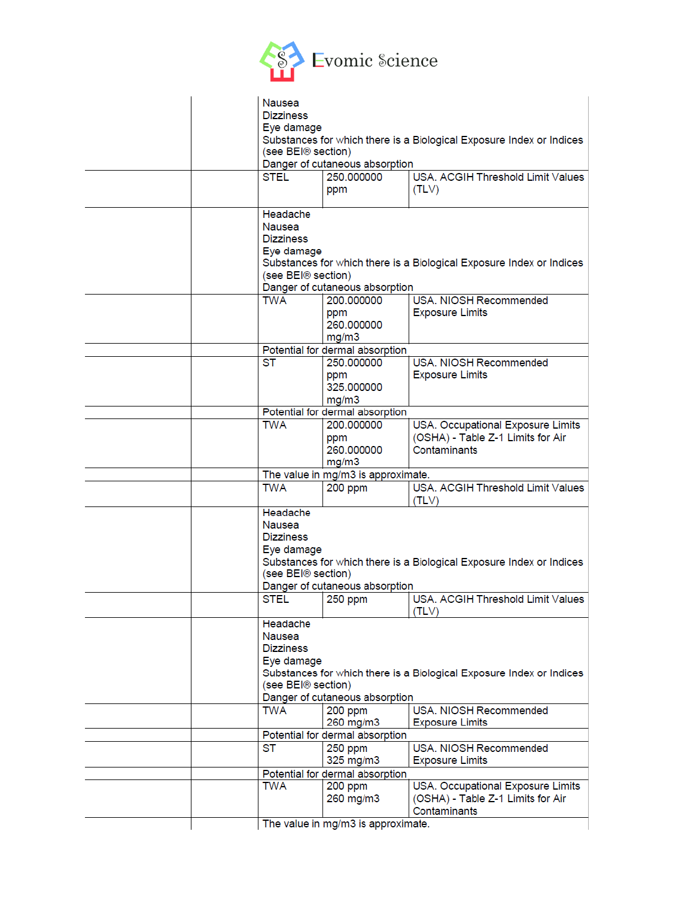

| <b>Nausea</b><br><b>Dizziness</b><br>Eye damage<br>Substances for which there is a Biological Exposure Index or Indices<br>(see BEI® section)<br>Danger of cutaneous absorption      |                                              |                                                                                        |  |  |
|--------------------------------------------------------------------------------------------------------------------------------------------------------------------------------------|----------------------------------------------|----------------------------------------------------------------------------------------|--|--|
| <b>STEL</b>                                                                                                                                                                          | 250.000000<br>ppm                            | USA, ACGIH Threshold Limit Values<br>(TLV)                                             |  |  |
| Headache<br>Nausea<br><b>Dizziness</b><br>Eye damage<br>(see BEI® section)                                                                                                           | Danger of cutaneous absorption               | Substances for which there is a Biological Exposure Index or Indices                   |  |  |
| <b>TWA</b>                                                                                                                                                                           | 200.000000<br>ppm<br>260.000000<br>mg/m3     | USA. NIOSH Recommended<br><b>Exposure Limits</b>                                       |  |  |
|                                                                                                                                                                                      | Potential for dermal absorption              |                                                                                        |  |  |
| <b>ST</b>                                                                                                                                                                            | 250.000000<br>ppm<br>325,000000<br>mg/m3     | USA, NIOSH Recommended<br><b>Exposure Limits</b>                                       |  |  |
|                                                                                                                                                                                      | Potential for dermal absorption              |                                                                                        |  |  |
| <b>TWA</b>                                                                                                                                                                           | 200.000000<br>ppm<br>260,000000<br>mg/m3     | USA. Occupational Exposure Limits<br>(OSHA) - Table Z-1 Limits for Air<br>Contaminants |  |  |
|                                                                                                                                                                                      | The value in mg/m3 is approximate.           |                                                                                        |  |  |
| <b>TWA</b>                                                                                                                                                                           | 200 ppm                                      | USA. ACGIH Threshold Limit Values<br>(TLV)                                             |  |  |
| Headache<br>Nausea<br><b>Dizziness</b><br>Eye damage<br>Substances for which there is a Biological Exposure Index or Indices<br>(see BEI® section)<br>Danger of cutaneous absorption |                                              |                                                                                        |  |  |
| STEL                                                                                                                                                                                 | 250 ppm                                      | USA, ACGIH Threshold Limit Values<br>(TLV)                                             |  |  |
| Headache<br>Nausea<br><b>Dizziness</b><br>Eye damage<br>Substances for which there is a Biological Exposure Index or Indices<br>(see BEI® section)<br>Danger of cutaneous absorption |                                              |                                                                                        |  |  |
| <b>TWA</b>                                                                                                                                                                           | 200 ppm                                      | USA. NIOSH Recommended                                                                 |  |  |
|                                                                                                                                                                                      | 260 mg/m3<br>Potential for dermal absorption | <b>Exposure Limits</b>                                                                 |  |  |
| ST                                                                                                                                                                                   | 250 ppm                                      | USA. NIOSH Recommended                                                                 |  |  |
|                                                                                                                                                                                      | 325 mg/m3                                    | <b>Exposure Limits</b>                                                                 |  |  |
|                                                                                                                                                                                      | Potential for dermal absorption              |                                                                                        |  |  |
| <b>TWA</b>                                                                                                                                                                           | 200 ppm<br>260 mg/m3                         | USA. Occupational Exposure Limits<br>(OSHA) - Table Z-1 Limits for Air<br>Contaminants |  |  |
| The value in mg/m3 is approximate.                                                                                                                                                   |                                              |                                                                                        |  |  |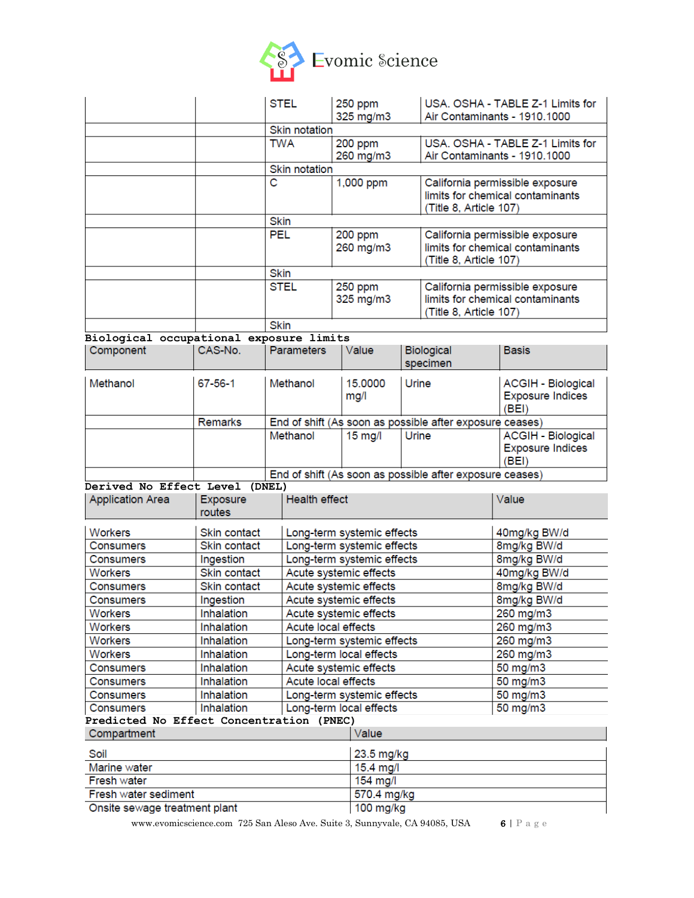

|                                          |                    | <b>STEL</b>                | 250 ppm<br>325 mg/m3       |                            | USA, OSHA - TABLE Z-1 Limits for<br>Air Contaminants - 1910.1000                              |                                                                     |
|------------------------------------------|--------------------|----------------------------|----------------------------|----------------------------|-----------------------------------------------------------------------------------------------|---------------------------------------------------------------------|
|                                          |                    | <b>Skin notation</b>       |                            |                            |                                                                                               |                                                                     |
|                                          |                    | <b>TWA</b>                 | 200 ppm<br>260 mg/m3       |                            |                                                                                               | USA. OSHA - TABLE Z-1 Limits for<br>Air Contaminants - 1910.1000    |
|                                          |                    | <b>Skin notation</b>       |                            |                            |                                                                                               |                                                                     |
|                                          |                    | $\overline{\mathbf{c}}$    | 1,000 ppm                  |                            | California permissible exposure<br>limits for chemical contaminants<br>(Title 8, Article 107) |                                                                     |
|                                          |                    | <b>Skin</b>                |                            |                            |                                                                                               |                                                                     |
|                                          |                    | <b>PEL</b>                 | 200 ppm<br>260 mg/m3       | (Title 8, Article 107)     |                                                                                               | California permissible exposure<br>limits for chemical contaminants |
|                                          |                    | Skin                       |                            |                            |                                                                                               |                                                                     |
|                                          |                    | <b>STEL</b>                | 250 ppm<br>325 mg/m3       | (Title 8, Article 107)     |                                                                                               | California permissible exposure<br>limits for chemical contaminants |
|                                          |                    | <b>Skin</b>                |                            |                            |                                                                                               |                                                                     |
| Biological occupational exposure limits  |                    |                            |                            |                            |                                                                                               |                                                                     |
| Component                                | CAS-No.            | <b>Parameters</b>          | Value                      |                            | <b>Biological</b><br>specimen                                                                 | Basis                                                               |
| Methanol                                 | $67 - 56 - 1$      | Methanol                   | 15.0000<br>mg/l            | Urine                      |                                                                                               | <b>ACGIH - Biological</b><br><b>Exposure Indices</b><br>(BEI)       |
|                                          | <b>Remarks</b>     |                            |                            |                            | End of shift (As soon as possible after exposure ceases)                                      |                                                                     |
|                                          |                    | Methanol                   | $15 \text{ mg/l}$          | Urine                      |                                                                                               | <b>ACGIH - Biological</b><br><b>Exposure Indices</b><br>(BEI)       |
|                                          |                    |                            |                            |                            | End of shift (As soon as possible after exposure ceases)                                      |                                                                     |
| Derived No Effect Level (DNEL)           |                    |                            |                            |                            |                                                                                               |                                                                     |
| <b>Application Area</b>                  | Exposure<br>routes | <b>Health effect</b>       |                            |                            |                                                                                               | Value                                                               |
| Workers                                  | Skin contact       |                            | Long-term systemic effects |                            |                                                                                               | 40mg/kg BW/d                                                        |
| Consumers                                | Skin contact       |                            |                            | Long-term systemic effects |                                                                                               | 8mg/kg BW/d                                                         |
| Consumers                                | Ingestion          |                            |                            | Long-term systemic effects |                                                                                               | 8mg/kg BW/d                                                         |
| Workers                                  | Skin contact       |                            | Acute systemic effects     |                            |                                                                                               | 40mg/kg BW/d                                                        |
| Consumers                                | Skin contact       |                            | Acute systemic effects     |                            |                                                                                               | 8mg/kg BW/d                                                         |
| Consumers                                | Ingestion          |                            | Acute systemic effects     |                            |                                                                                               | 8mg/kg BW/d                                                         |
| Workers                                  | Inhalation         |                            | Acute systemic effects     |                            |                                                                                               | 260 mg/m3                                                           |
| Workers                                  | Inhalation         | Acute local effects        |                            |                            | 260 mg/m3                                                                                     |                                                                     |
| Workers                                  | Inhalation         |                            |                            | Long-term systemic effects |                                                                                               | 260 mg/m3                                                           |
| Workers                                  | Inhalation         |                            | Long-term local effects    |                            |                                                                                               | 260 mg/m3                                                           |
| Consumers                                | Inhalation         |                            | Acute systemic effects     |                            |                                                                                               | 50 mg/m3                                                            |
| Consumers                                | Inhalation         | Acute local effects        |                            |                            | 50 mg/m3                                                                                      |                                                                     |
| Consumers                                | Inhalation         | Long-term systemic effects |                            |                            | 50 mg/m3                                                                                      |                                                                     |
| <b>Consumers</b>                         | Inhalation         | Long-term local effects    |                            |                            |                                                                                               | 50 mg/m3                                                            |
| Predicted No Effect Concentration (PNEC) |                    |                            |                            |                            |                                                                                               |                                                                     |
| Compartment                              |                    |                            | Value                      |                            |                                                                                               |                                                                     |
| Soil                                     |                    |                            | 23.5 mg/kg                 |                            |                                                                                               |                                                                     |
| Marine water                             |                    |                            |                            | 15.4 mg/l                  |                                                                                               |                                                                     |
| Fresh water                              |                    |                            |                            | 154 mg/l                   |                                                                                               |                                                                     |
| Fresh water sediment                     |                    |                            | 570.4 mg/kg                |                            |                                                                                               |                                                                     |
| Onsite sewage treatment plant            |                    |                            | 100 mg/kg                  |                            |                                                                                               |                                                                     |

www.evomicscience.com 725 San Aleso Ave. Suite 3, Sunnyvale, CA 94085, USA 6 | P a g e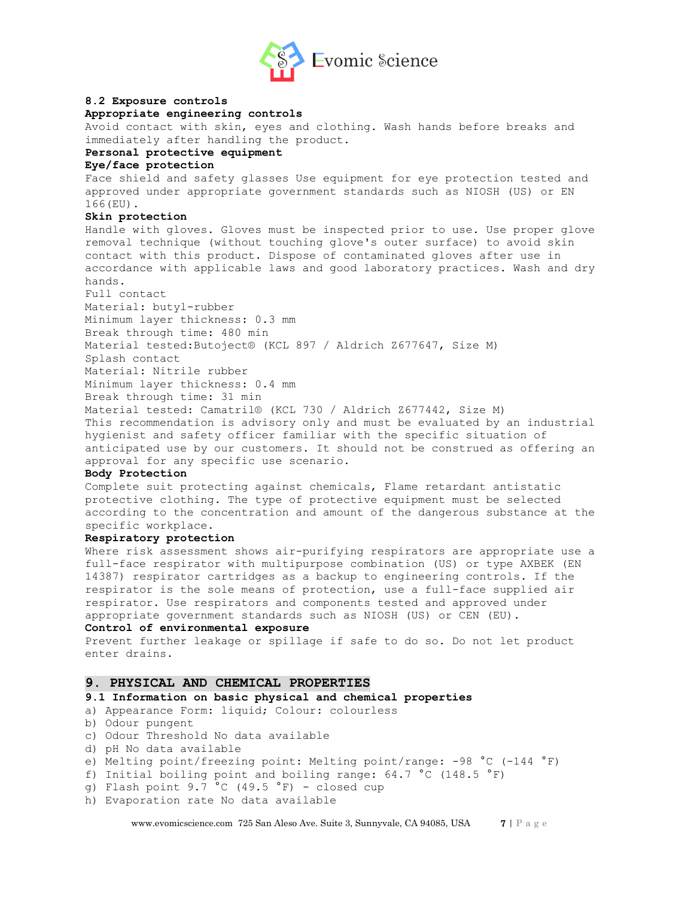

## **8.2 Exposure controls**

## **Appropriate engineering controls**

Avoid contact with skin, eyes and clothing. Wash hands before breaks and immediately after handling the product.

## **Personal protective equipment**

#### **Eye/face protection**

Face shield and safety glasses Use equipment for eye protection tested and approved under appropriate government standards such as NIOSH (US) or EN 166(EU).

## **Skin protection**

Handle with gloves. Gloves must be inspected prior to use. Use proper glove removal technique (without touching glove's outer surface) to avoid skin contact with this product. Dispose of contaminated gloves after use in accordance with applicable laws and good laboratory practices. Wash and dry hands.

Full contact

Material: butyl-rubber

Minimum layer thickness: 0.3 mm Break through time: 480 min

Material tested:Butoject® (KCL 897 / Aldrich Z677647, Size M)

Splash contact

Material: Nitrile rubber

Minimum layer thickness: 0.4 mm

Break through time: 31 min

Material tested: Camatril® (KCL 730 / Aldrich Z677442, Size M) This recommendation is advisory only and must be evaluated by an industrial hygienist and safety officer familiar with the specific situation of anticipated use by our customers. It should not be construed as offering an approval for any specific use scenario.

## **Body Protection**

Complete suit protecting against chemicals, Flame retardant antistatic protective clothing. The type of protective equipment must be selected according to the concentration and amount of the dangerous substance at the specific workplace.

#### **Respiratory protection**

Where risk assessment shows air-purifying respirators are appropriate use a full-face respirator with multipurpose combination (US) or type AXBEK (EN 14387) respirator cartridges as a backup to engineering controls. If the respirator is the sole means of protection, use a full-face supplied air respirator. Use respirators and components tested and approved under appropriate government standards such as NIOSH (US) or CEN (EU).

## **Control of environmental exposure**

Prevent further leakage or spillage if safe to do so. Do not let product enter drains.

## **9. PHYSICAL AND CHEMICAL PROPERTIES**

## **9.1 Information on basic physical and chemical properties**

- a) Appearance Form: liquid; Colour: colourless
- b) Odour pungent
- c) Odour Threshold No data available
- d) pH No data available
- e) Melting point/freezing point: Melting point/range: -98 °C (-144 °F)
- f) Initial boiling point and boiling range:  $64.7 \text{ °C}$  (148.5  $\text{°F}$ )
- q) Flash point  $9.7 \text{ °C}$  (49.5  $\text{ °F}$ ) closed cup
- h) Evaporation rate No data available

www.evomicscience.com 725 San Aleso Ave. Suite 3, Sunnyvale, CA 94085, USA 7 | P a g e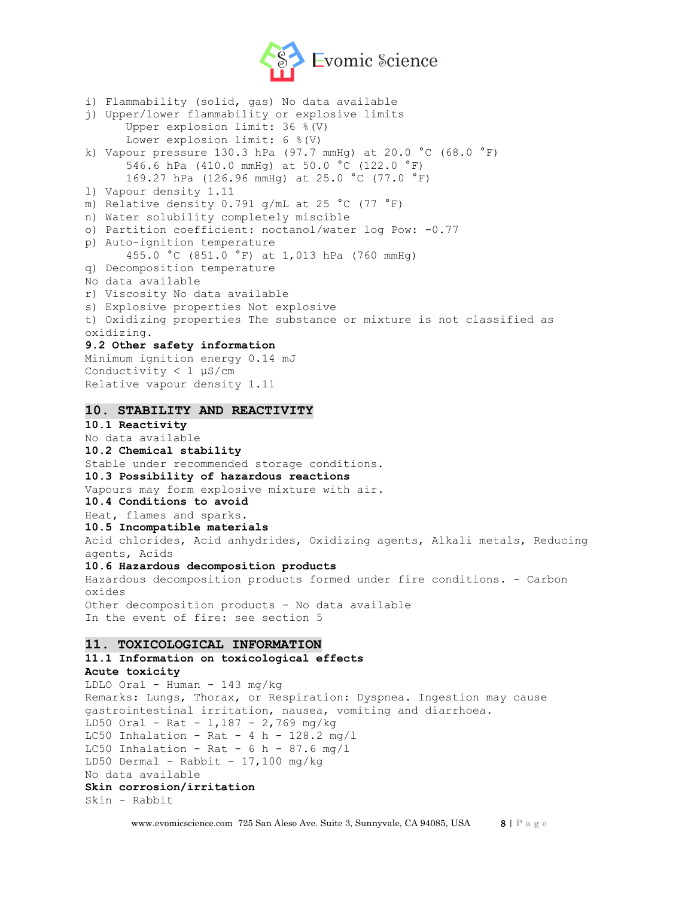

i) Flammability (solid, gas) No data available j) Upper/lower flammability or explosive limits Upper explosion limit: 36 %(V) Lower explosion limit: 6 %(V) k) Vapour pressure 130.3 hPa (97.7 mmHq) at 20.0 °C (68.0 °F) 546.6 hPa (410.0 mmHg) at 50.0 °C (122.0 °F) 169.27 hPa (126.96 mmHg) at 25.0 °C (77.0 °F) l) Vapour density 1.11 m) Relative density 0.791 g/mL at 25 °C (77 °F) n) Water solubility completely miscible o) Partition coefficient: noctanol/water log Pow: -0.77 p) Auto-ignition temperature 455.0 °C (851.0 °F) at 1,013 hPa (760 mmHg) q) Decomposition temperature No data available r) Viscosity No data available s) Explosive properties Not explosive t) Oxidizing properties The substance or mixture is not classified as oxidizing. **9.2 Other safety information** Minimum ignition energy 0.14 mJ Conductivity < 1 μS/cm Relative vapour density 1.11 **10. STABILITY AND REACTIVITY 10.1 Reactivity** No data available **10.2 Chemical stability** Stable under recommended storage conditions. **10.3 Possibility of hazardous reactions** Vapours may form explosive mixture with air. **10.4 Conditions to avoid** Heat, flames and sparks. **10.5 Incompatible materials** Acid chlorides, Acid anhydrides, Oxidizing agents, Alkali metals, Reducing agents, Acids **10.6 Hazardous decomposition products** Hazardous decomposition products formed under fire conditions. - Carbon oxides Other decomposition products - No data available In the event of fire: see section 5 **11. TOXICOLOGICAL INFORMATION 11.1 Information on toxicological effects Acute toxicity** LDLO Oral - Human - 143 mg/kg Remarks: Lungs, Thorax, or Respiration: Dyspnea. Ingestion may cause

gastrointestinal irritation, nausea, vomiting and diarrhoea.

LD50 Oral - Rat - 1,187 - 2,769 mg/kg

- LC50 Inhalation Rat 4 h  $128.2 \text{ mg/l}$
- LC50 Inhalation Rat  $6 h 87.6 mg/l$ LD50 Dermal - Rabbit -  $17,100$  mg/kg
- No data available

```
Skin corrosion/irritation
```

```
Skin - Rabbit
```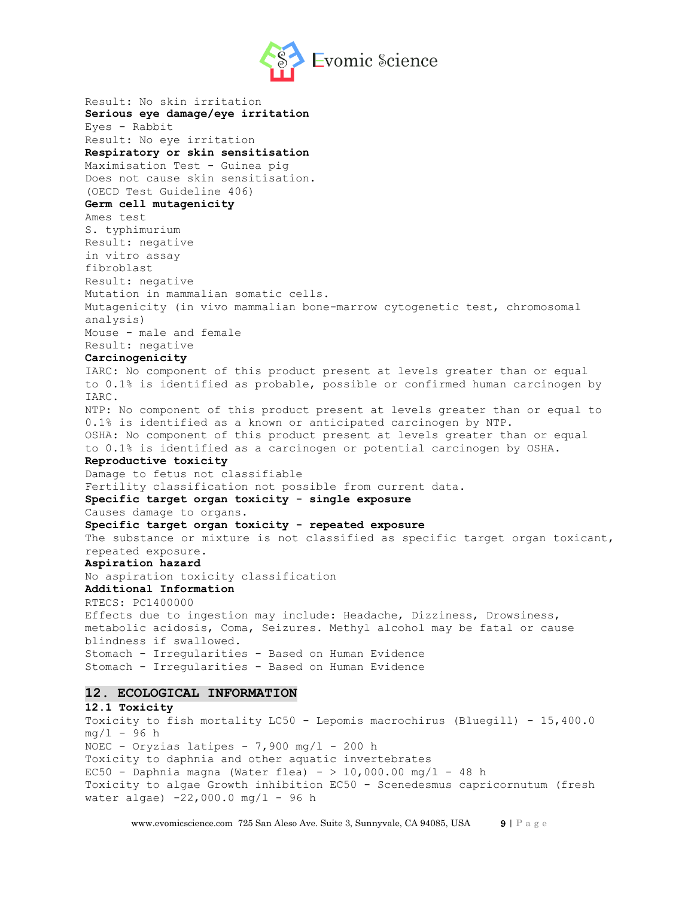

Result: No skin irritation **Serious eye damage/eye irritation** Eyes - Rabbit Result: No eye irritation **Respiratory or skin sensitisation** Maximisation Test - Guinea pig Does not cause skin sensitisation. (OECD Test Guideline 406) **Germ cell mutagenicity** Ames test S. typhimurium Result: negative in vitro assay fibroblast Result: negative Mutation in mammalian somatic cells. Mutagenicity (in vivo mammalian bone-marrow cytogenetic test, chromosomal analysis) Mouse - male and female Result: negative **Carcinogenicity** IARC: No component of this product present at levels greater than or equal to 0.1% is identified as probable, possible or confirmed human carcinogen by IARC. NTP: No component of this product present at levels greater than or equal to 0.1% is identified as a known or anticipated carcinogen by NTP. OSHA: No component of this product present at levels greater than or equal to 0.1% is identified as a carcinogen or potential carcinogen by OSHA. **Reproductive toxicity** Damage to fetus not classifiable Fertility classification not possible from current data. **Specific target organ toxicity - single exposure** Causes damage to organs. **Specific target organ toxicity - repeated exposure** The substance or mixture is not classified as specific target organ toxicant, repeated exposure. **Aspiration hazard** No aspiration toxicity classification **Additional Information** RTECS: PC1400000 Effects due to ingestion may include: Headache, Dizziness, Drowsiness, metabolic acidosis, Coma, Seizures. Methyl alcohol may be fatal or cause blindness if swallowed. Stomach - Irregularities - Based on Human Evidence Stomach - Irregularities - Based on Human Evidence **12. ECOLOGICAL INFORMATION 12.1 Toxicity** Toxicity to fish mortality LC50 - Lepomis macrochirus (Bluegill) - 15,400.0  $mq/1 - 96 h$ NOEC - Oryzias latipes -  $7,900$  mg/l - 200 h Toxicity to daphnia and other aquatic invertebrates EC50 - Daphnia magna (Water flea) -  $> 10,000.00$  mg/l - 48 h

Toxicity to algae Growth inhibition EC50 - Scenedesmus capricornutum (fresh water algae) -22,000.0 mg/l - 96 h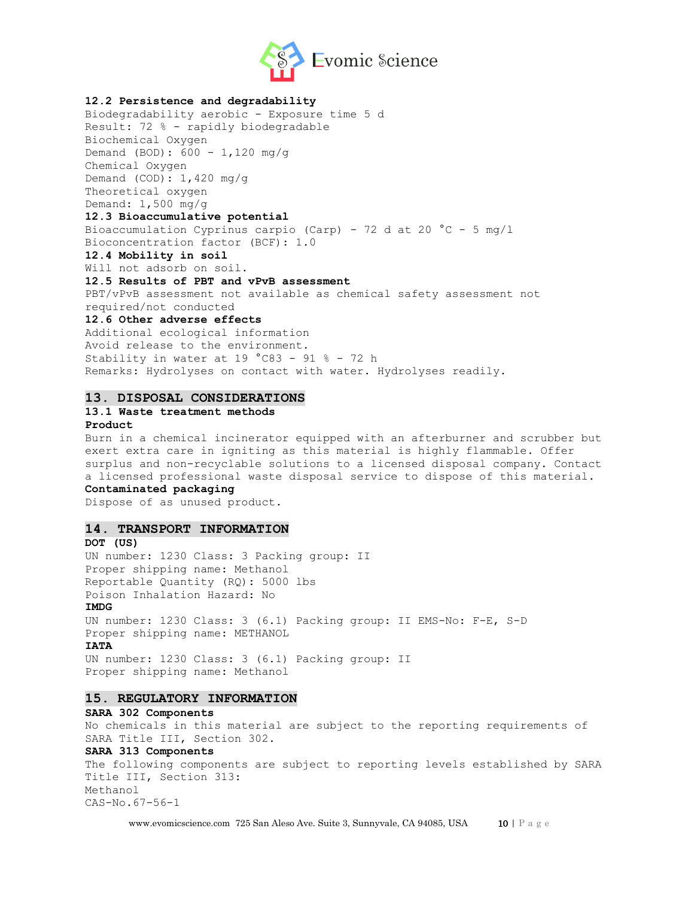

## **12.2 Persistence and degradability**

Biodegradability aerobic - Exposure time 5 d Result: 72 % - rapidly biodegradable Biochemical Oxygen Demand (BOD): 600 - 1,120 mg/g Chemical Oxygen Demand  $(COD): 1,420$  mg/g Theoretical oxygen Demand: 1,500 mg/g **12.3 Bioaccumulative potential** Bioaccumulation Cyprinus carpio (Carp) - 72 d at 20 °C - 5 mg/l Bioconcentration factor (BCF): 1.0 **12.4 Mobility in soil** Will not adsorb on soil. **12.5 Results of PBT and vPvB assessment** PBT/vPvB assessment not available as chemical safety assessment not required/not conducted **12.6 Other adverse effects** Additional ecological information Avoid release to the environment. Stability in water at 19 °C83 - 91 % - 72 h Remarks: Hydrolyses on contact with water. Hydrolyses readily.

### **13. DISPOSAL CONSIDERATIONS**

# **13.1 Waste treatment methods**

#### **Product**

Burn in a chemical incinerator equipped with an afterburner and scrubber but exert extra care in igniting as this material is highly flammable. Offer surplus and non-recyclable solutions to a licensed disposal company. Contact a licensed professional waste disposal service to dispose of this material. **Contaminated packaging**

Dispose of as unused product.

## **14. TRANSPORT INFORMATION**

**DOT (US)** UN number: 1230 Class: 3 Packing group: II Proper shipping name: Methanol Reportable Quantity (RQ): 5000 lbs Poison Inhalation Hazard: No **IMDG** UN number: 1230 Class: 3 (6.1) Packing group: II EMS-No: F-E, S-D Proper shipping name: METHANOL **IATA** UN number: 1230 Class: 3 (6.1) Packing group: II Proper shipping name: Methanol

## **15. REGULATORY INFORMATION**

#### **SARA 302 Components**

No chemicals in this material are subject to the reporting requirements of SARA Title III, Section 302. **SARA 313 Components**

The following components are subject to reporting levels established by SARA Title III, Section 313: Methanol CAS-No.67-56-1